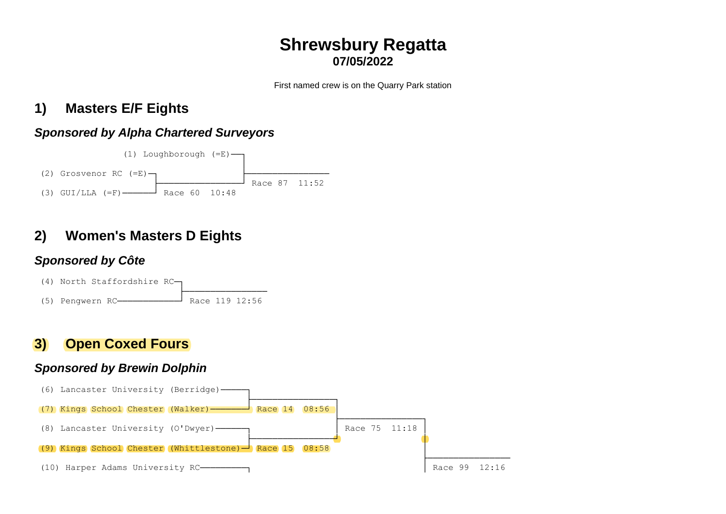# **Shrewsbury Regatta 07/05/2022**

First named crew is on the Quarry Park station

# **1) Masters E/F Eights**

## *Sponsored by Alpha Chartered Surveyors*



# **2) Women's Masters D Eights**

## *Sponsored by Côte*



# **3) Open Coxed Fours**

## *Sponsored by Brewin Dolphin*

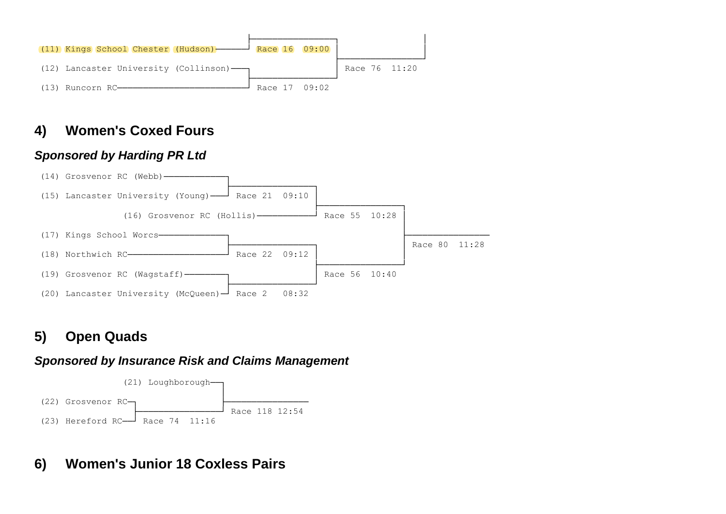

# **4) Women's Coxed Fours**

### *Sponsored by Harding PR Ltd*



# **5) Open Quads**

#### *Sponsored by Insurance Risk and Claims Management*



# **6) Women's Junior 18 Coxless Pairs**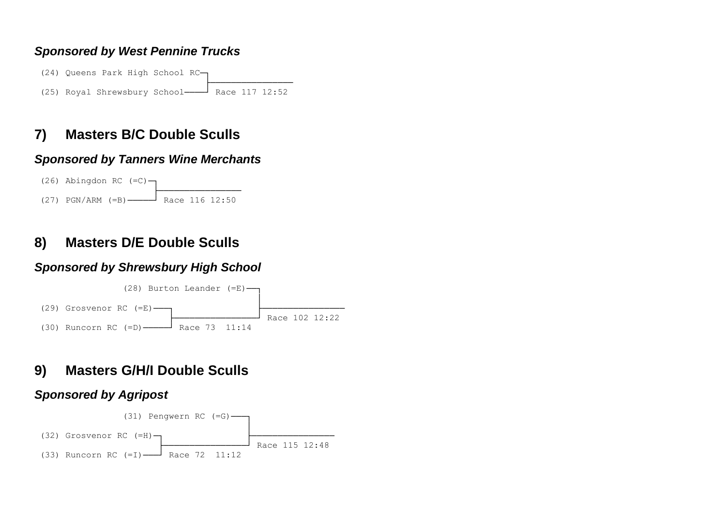### *Sponsored by West Pennine Trucks*

(24) Queens Park High School RC─┐ ├───────────────────────────────── (25) Royal Shrewsbury School────┘ Race 117 12:52

# **7) Masters B/C Double Sculls**

#### *Sponsored by Tanners Wine Merchants*



## **8) Masters D/E Double Sculls**

### *Sponsored by Shrewsbury High School*



# **9) Masters G/H/I Double Sculls**

### *Sponsored by Agripost*

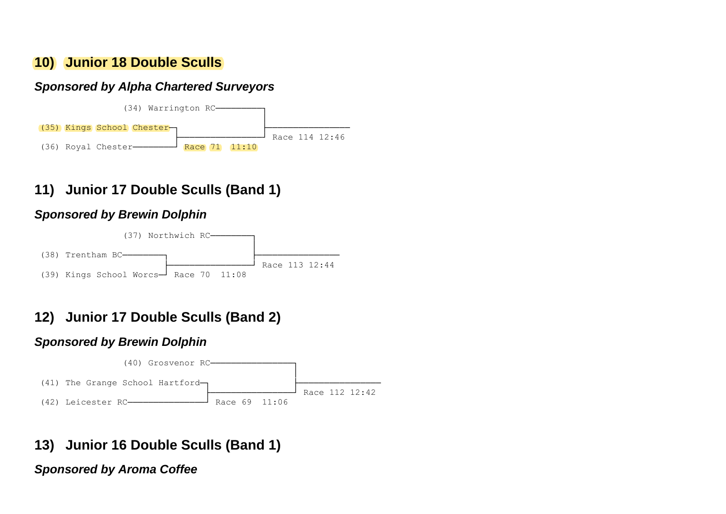## **10) Junior 18 Double Sculls**

### *Sponsored by Alpha Chartered Surveyors*



# **11) Junior 17 Double Sculls (Band 1)**

### *Sponsored by Brewin Dolphin*



# **12) Junior 17 Double Sculls (Band 2)**

### *Sponsored by Brewin Dolphin*



# **13) Junior 16 Double Sculls (Band 1)**

*Sponsored by Aroma Coffee*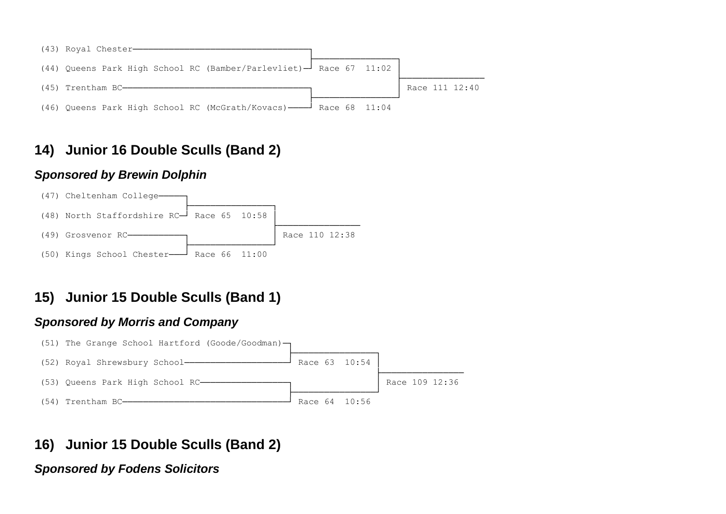

# **14) Junior 16 Double Sculls (Band 2)**

#### *Sponsored by Brewin Dolphin*



# **15) Junior 15 Double Sculls (Band 1)**

#### *Sponsored by Morris and Company*



## **16) Junior 15 Double Sculls (Band 2)**

### *Sponsored by Fodens Solicitors*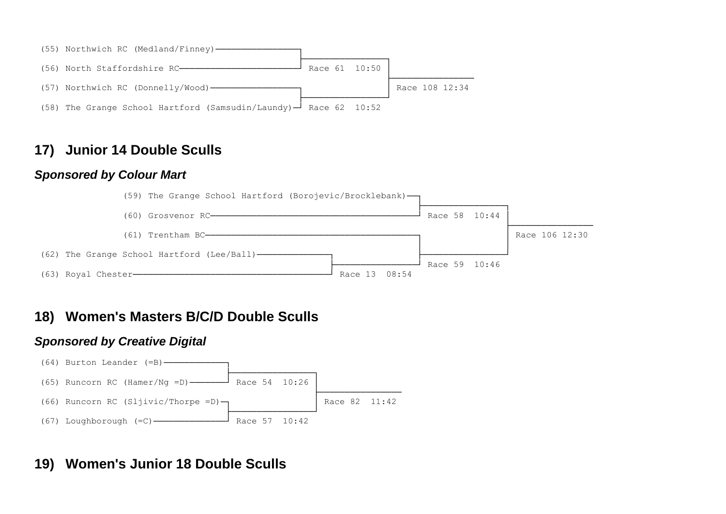

## **17) Junior 14 Double Sculls**

#### *Sponsored by Colour Mart*



## **18) Women's Masters B/C/D Double Sculls**

#### *Sponsored by Creative Digital*



# **19) Women's Junior 18 Double Sculls**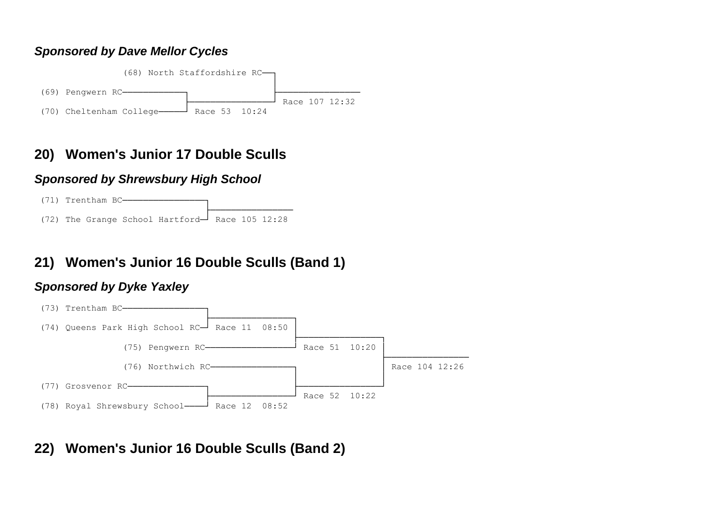### *Sponsored by Dave Mellor Cycles*



# **20) Women's Junior 17 Double Sculls**

### *Sponsored by Shrewsbury High School*



# **21) Women's Junior 16 Double Sculls (Band 1)**

### *Sponsored by Dyke Yaxley*



# **22) Women's Junior 16 Double Sculls (Band 2)**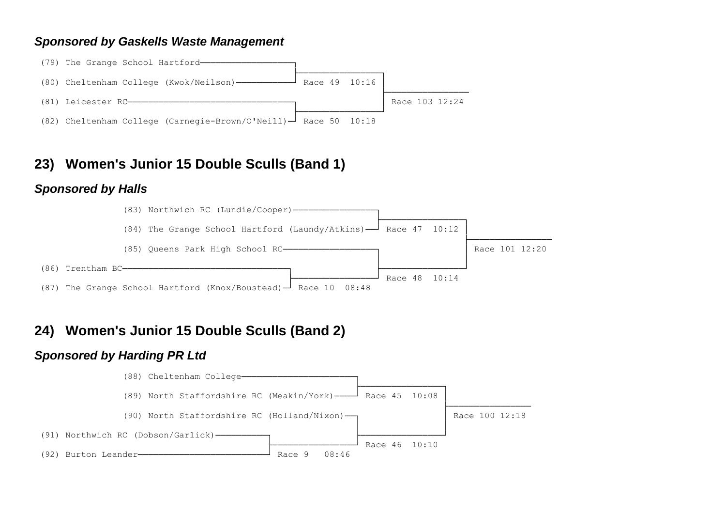#### *Sponsored by Gaskells Waste Management*



## **23) Women's Junior 15 Double Sculls (Band 1)**

#### *Sponsored by Halls*



## **24) Women's Junior 15 Double Sculls (Band 2)**

### *Sponsored by Harding PR Ltd*

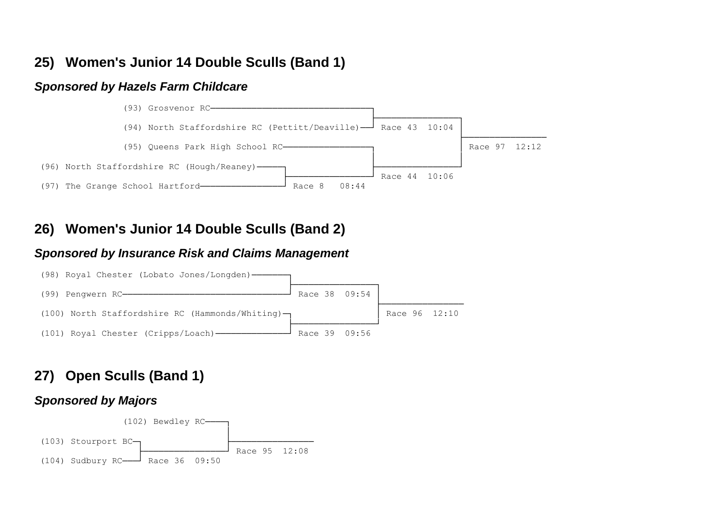## **25) Women's Junior 14 Double Sculls (Band 1)**

#### *Sponsored by Hazels Farm Childcare*



## **26) Women's Junior 14 Double Sculls (Band 2)**

#### *Sponsored by Insurance Risk and Claims Management*



# **27) Open Sculls (Band 1)**

#### *Sponsored by Majors*

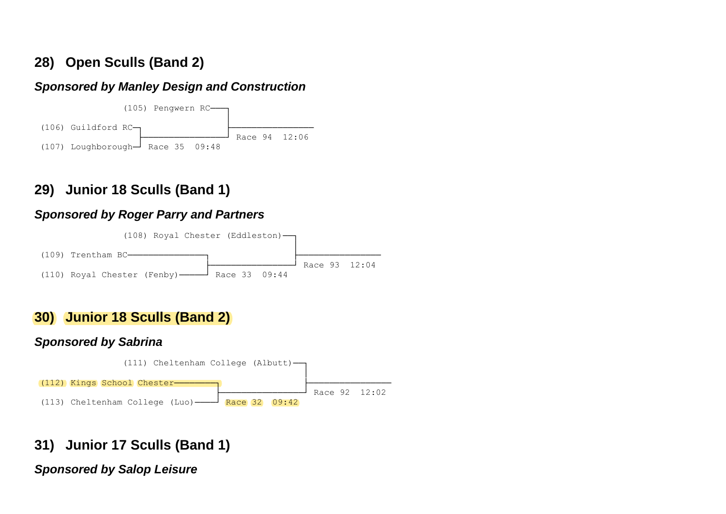# **28) Open Sculls (Band 2)**

## *Sponsored by Manley Design and Construction*



# **29) Junior 18 Sculls (Band 1)**

## *Sponsored by Roger Parry and Partners*



# **30) Junior 18 Sculls (Band 2)**

### *Sponsored by Sabrina*



# **31) Junior 17 Sculls (Band 1)**

## *Sponsored by Salop Leisure*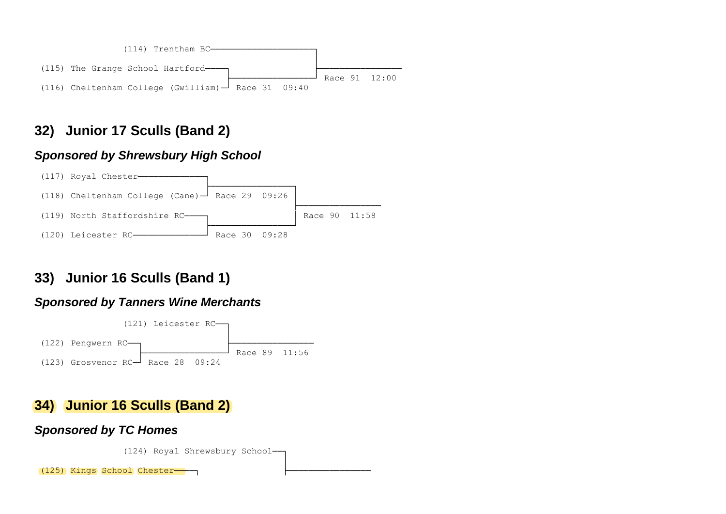

# **32) Junior 17 Sculls (Band 2)**

### *Sponsored by Shrewsbury High School*



# **33) Junior 16 Sculls (Band 1)**

### *Sponsored by Tanners Wine Merchants*



# **34) Junior 16 Sculls (Band 2)**

#### *Sponsored by TC Homes*

(124) Royal Shrewsbury School-│

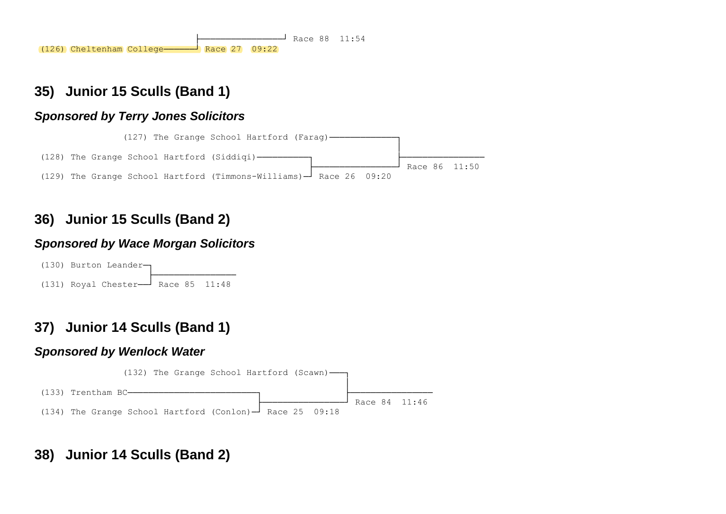$\frac{1}{2}$  Race 88 11:54 (126) Cheltenham College──────┘ Race 27 09:22

## **35) Junior 15 Sculls (Band 1)**

### *Sponsored by Terry Jones Solicitors*



# **36) Junior 15 Sculls (Band 2)**

### *Sponsored by Wace Morgan Solicitors*

(130) Burton Leander-└──────<del>─────────────</del>──────────  $(131)$  Royal Chester<sup>{1}</sup> Race 85 11:48

# **37) Junior 14 Sculls (Band 1)**

### *Sponsored by Wenlock Water*



# **38) Junior 14 Sculls (Band 2)**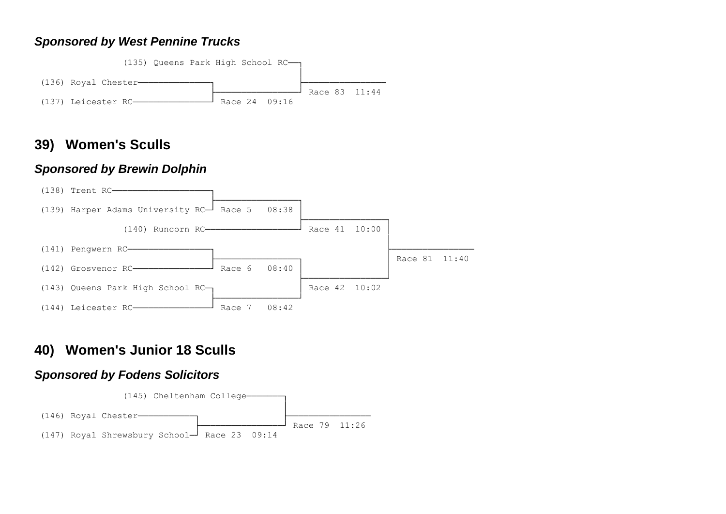#### *Sponsored by West Pennine Trucks*



### **39) Women's Sculls**

#### *Sponsored by Brewin Dolphin*



## **40) Women's Junior 18 Sculls**

### *Sponsored by Fodens Solicitors*

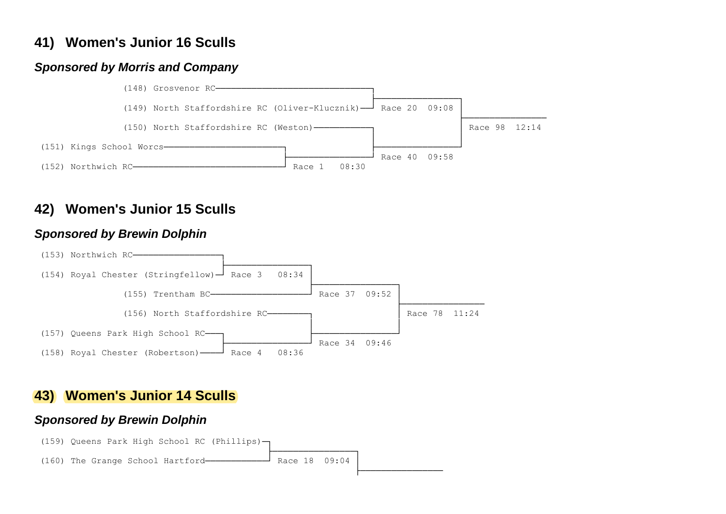# **41) Women's Junior 16 Sculls**

### *Sponsored by Morris and Company*



# **42) Women's Junior 15 Sculls**

### *Sponsored by Brewin Dolphin*



# **43) Women's Junior 14 Sculls**

#### *Sponsored by Brewin Dolphin*

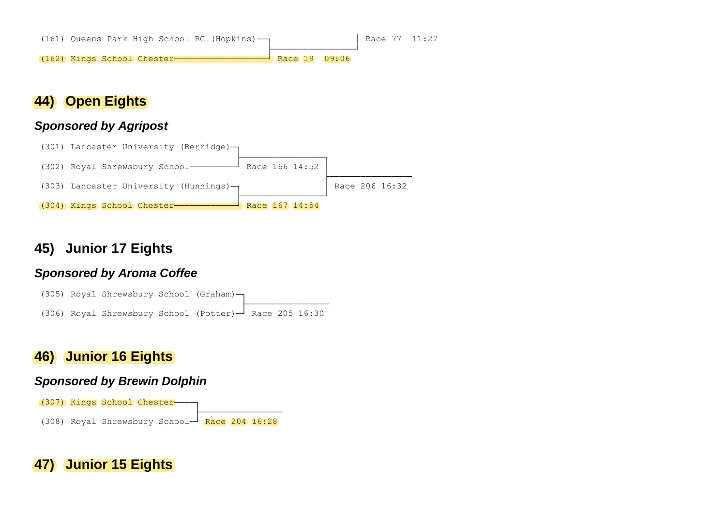

## **44) Open Eights**

#### *Sponsored by Agripost*



## **45) Junior 17 Eights**

#### *Sponsored by Aroma Coffee*



## **46) Junior 16 Eights**

#### *Sponsored by Brewin Dolphin*



## **47) Junior 15 Eights**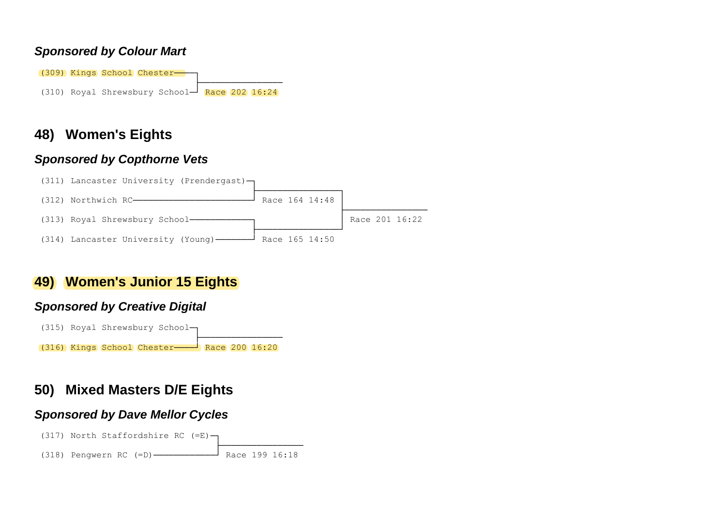#### *Sponsored by Colour Mart*

(309) Kings School Chester- ├──────────────── (310) Royal Shrewsbury School $-$ <sup>|</sup> Race 202 16:24

## **48) Women's Eights**

### *Sponsored by Copthorne Vets*



## **49) Women's Junior 15 Eights**

### *Sponsored by Creative Digital*



# **50) Mixed Masters D/E Eights**

### *Sponsored by Dave Mellor Cycles*

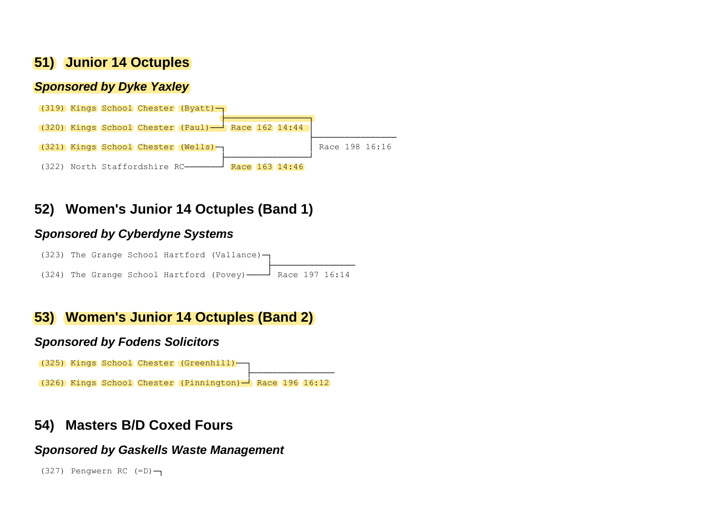## **51) Junior 14 Octuples**

#### *Sponsored by Dyke Yaxley*



# **52) Women's Junior 14 Octuples (Band 1)**

### *Sponsored by Cyberdyne Systems*

(323) The Grange School Hartford (Vallance) – ├──────────────── (324) The Grange School Hartford (Povey)────┘ Race 197 16:14

## **53) Women's Junior 14 Octuples (Band 2)**

#### *Sponsored by Fodens Solicitors*



## **54) Masters B/D Coxed Fours**

#### *Sponsored by Gaskells Waste Management*

```
(327) Pengwern RC (=D)–1
```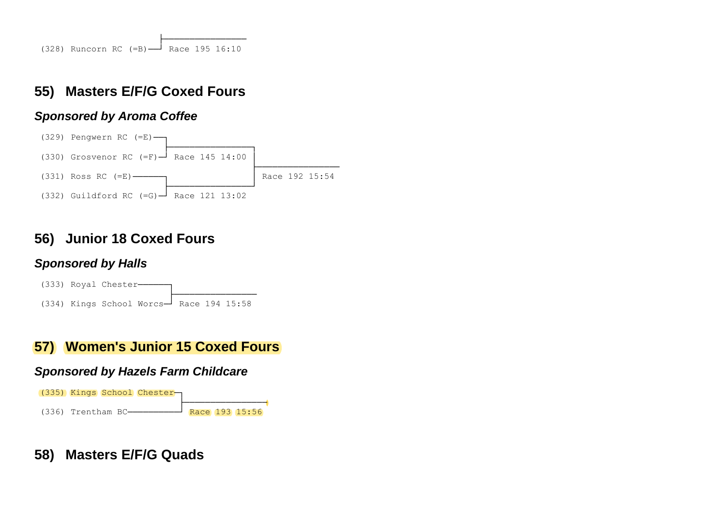# **55) Masters E/F/G Coxed Fours**

### *Sponsored by Aroma Coffee*



# **56) Junior 18 Coxed Fours**

### *Sponsored by Halls*



# **57) Women's Junior 15 Coxed Fours**

### *Sponsored by Hazels Farm Childcare*



# **58) Masters E/F/G Quads**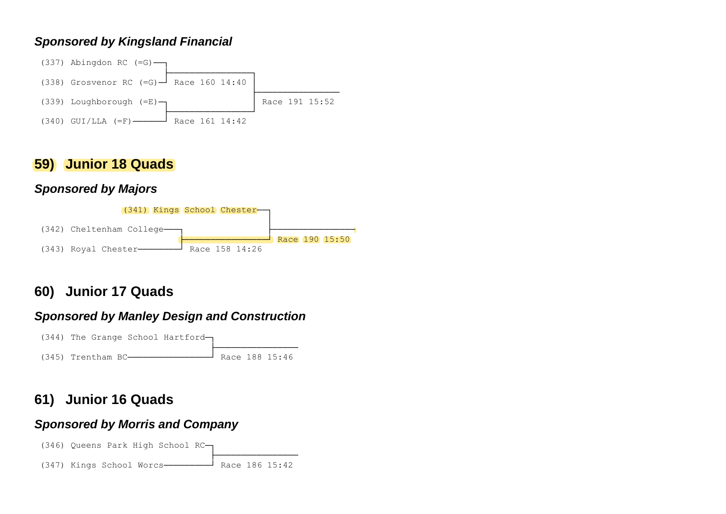### *Sponsored by Kingsland Financial*



## **59) Junior 18 Quads**

## *Sponsored by Majors*



# **60) Junior 17 Quads**

## *Sponsored by Manley Design and Construction*



# **61) Junior 16 Quads**

### *Sponsored by Morris and Company*

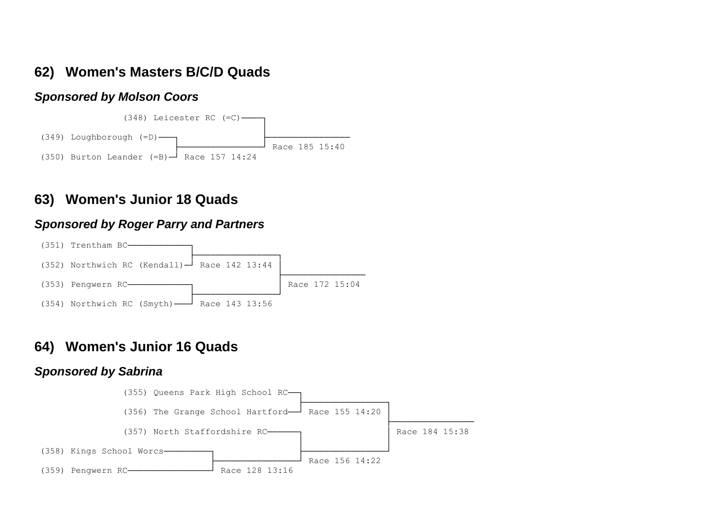## **62) Women's Masters B/C/D Quads**

#### *Sponsored by Molson Coors*



### **63) Women's Junior 18 Quads**

#### *Sponsored by Roger Parry and Partners*



## **64) Women's Junior 16 Quads**

#### *Sponsored by Sabrina*

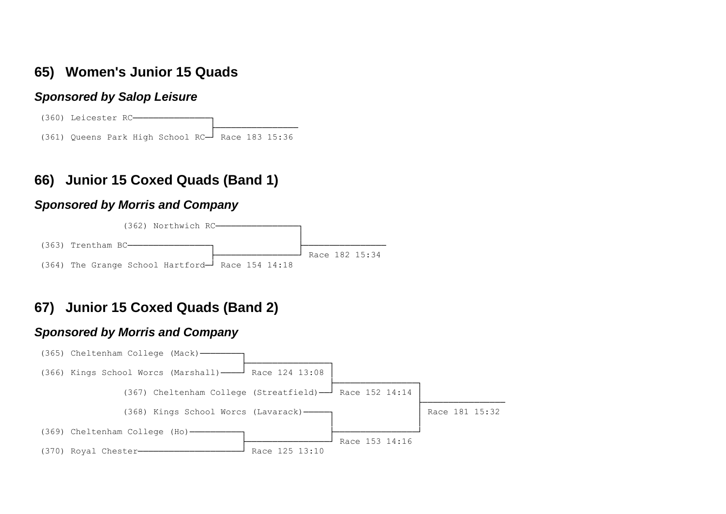## **65) Women's Junior 15 Quads**

#### *Sponsored by Salop Leisure*

(360) Leicester RC- ├──────────────── (361) Queens Park High School RC─┘ Race 183 15:36

# **66) Junior 15 Coxed Quads (Band 1)**

#### *Sponsored by Morris and Company*



# **67) Junior 15 Coxed Quads (Band 2)**

#### *Sponsored by Morris and Company*

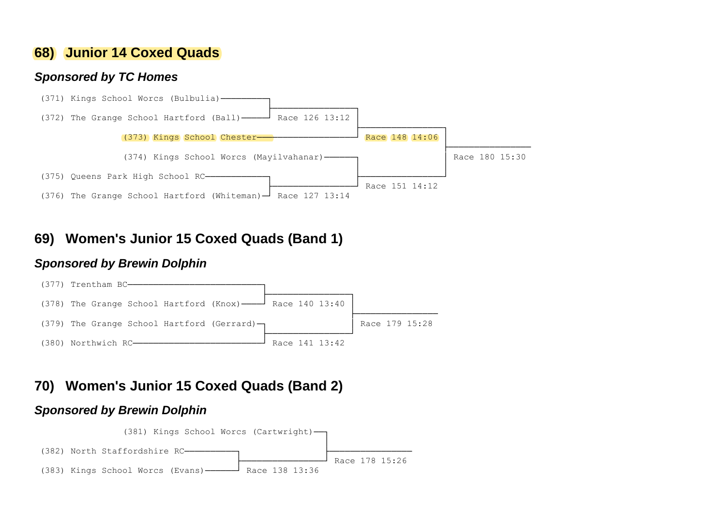## **68) Junior 14 Coxed Quads**

#### *Sponsored by TC Homes*



## **69) Women's Junior 15 Coxed Quads (Band 1)**

#### *Sponsored by Brewin Dolphin*



## **70) Women's Junior 15 Coxed Quads (Band 2)**

#### *Sponsored by Brewin Dolphin*

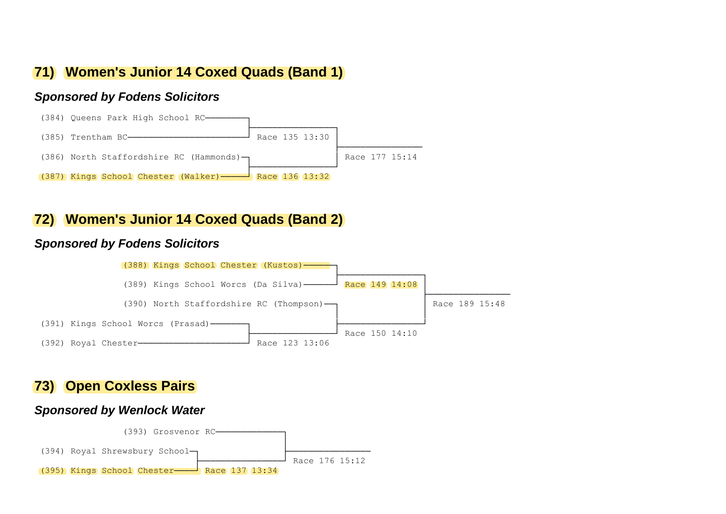## **71) Women's Junior 14 Coxed Quads (Band 1)**

#### *Sponsored by Fodens Solicitors*



### **72) Women's Junior 14 Coxed Quads (Band 2)**

#### *Sponsored by Fodens Solicitors*



### **73) Open Coxless Pairs**

#### *Sponsored by Wenlock Water*

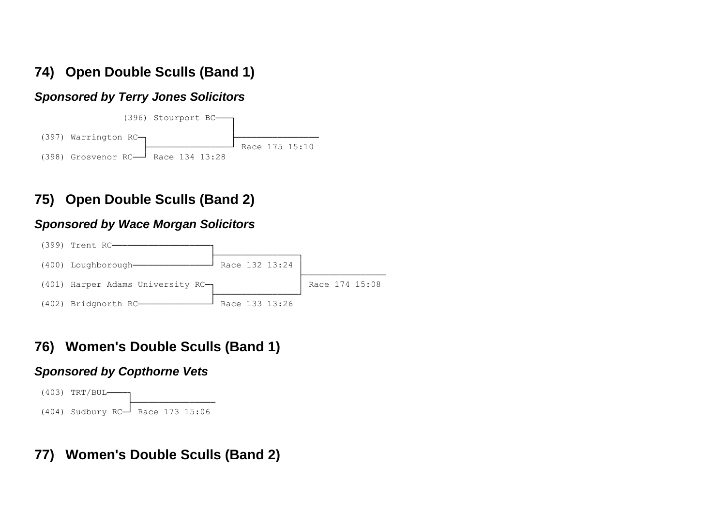# **74) Open Double Sculls (Band 1)**

### *Sponsored by Terry Jones Solicitors*



# **75) Open Double Sculls (Band 2)**

### *Sponsored by Wace Morgan Solicitors*



# **76) Women's Double Sculls (Band 1)**

### *Sponsored by Copthorne Vets*



# **77) Women's Double Sculls (Band 2)**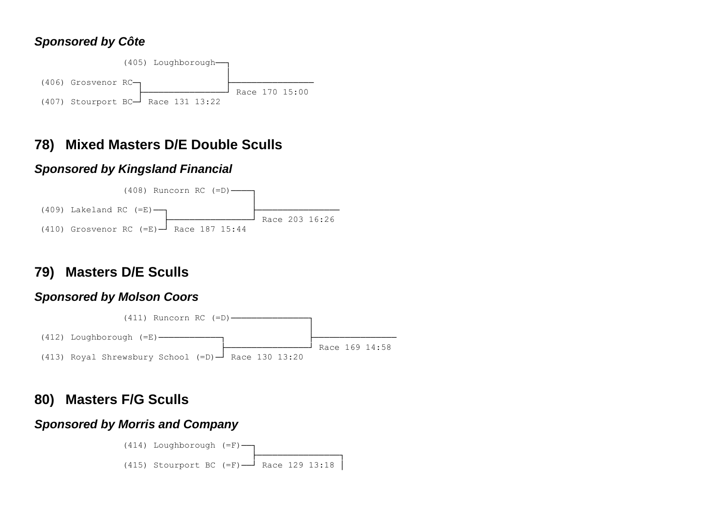### *Sponsored by Côte*



# **78) Mixed Masters D/E Double Sculls**

### *Sponsored by Kingsland Financial*



# **79) Masters D/E Sculls**

### *Sponsored by Molson Coors*



## **80) Masters F/G Sculls**

### *Sponsored by Morris and Company*